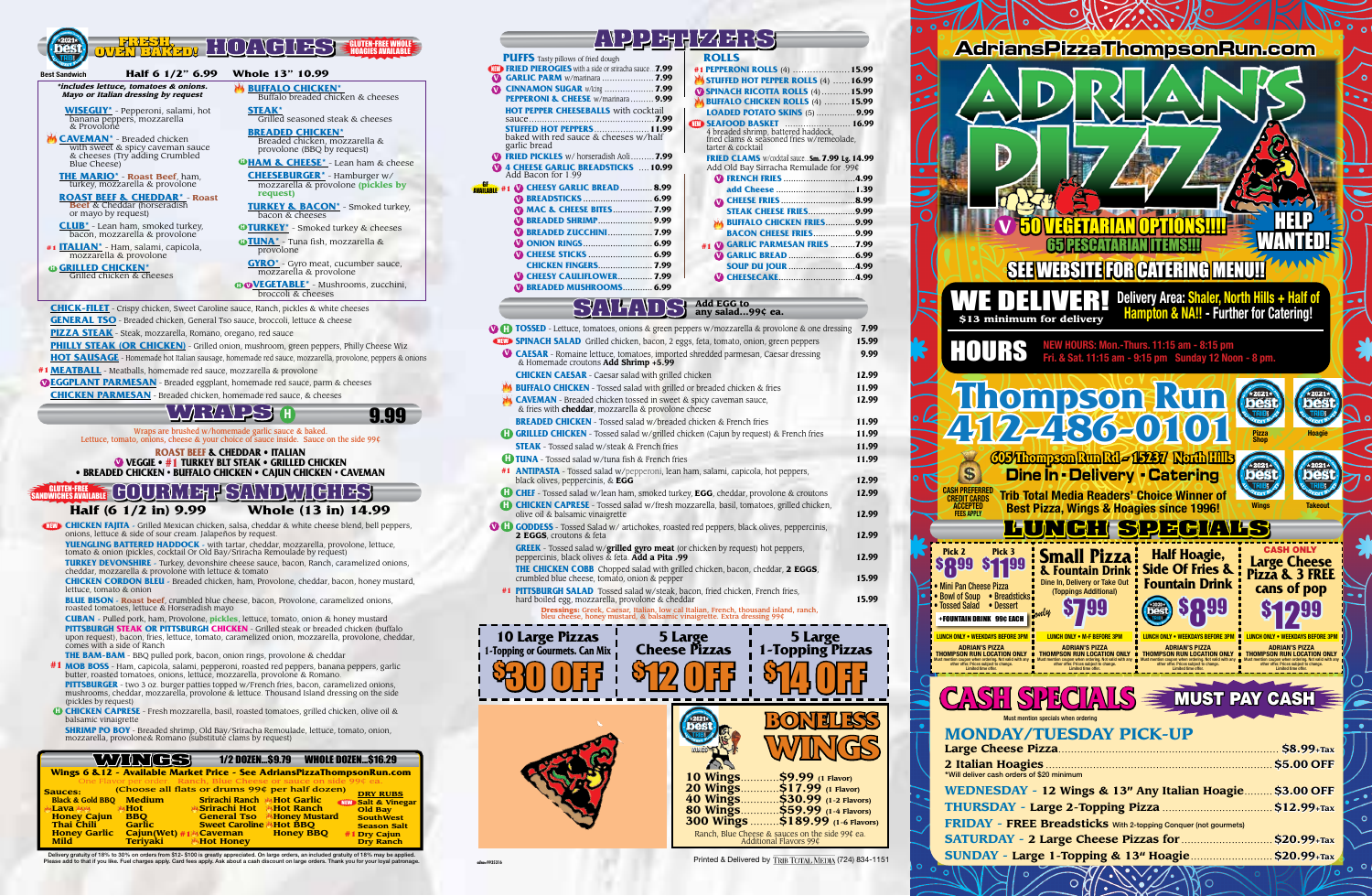|                                                                                                                                                                                                                | $\blacklozenge$                                                                                                                                                | $\blacksquare$<br>" /<br>$\blacklozenge$                                                                                                 |  |  |  |
|----------------------------------------------------------------------------------------------------------------------------------------------------------------------------------------------------------------|----------------------------------------------------------------------------------------------------------------------------------------------------------------|------------------------------------------------------------------------------------------------------------------------------------------|--|--|--|
| <b>Best Sandwich</b>                                                                                                                                                                                           | न्न।<br>Half 6 1/2" 6.99                                                                                                                                       | <b>Whole 13" 10.99</b>                                                                                                                   |  |  |  |
|                                                                                                                                                                                                                | *includes lettuce, tomatoes & onions.<br>Mayo or Italian dressing by request                                                                                   | <b>BUFFALO CHICKEN*</b><br>Buffalo breaded chicken & cheeses                                                                             |  |  |  |
|                                                                                                                                                                                                                | <b>WISEGUY</b> * - Pepperoni, salami, hot<br>banana peppers, mozzarella<br>& Provolone                                                                         | <b>STEAK*</b><br>Grilled seasoned steak & cheeses                                                                                        |  |  |  |
|                                                                                                                                                                                                                | <b>CAVEMAN</b> <sup>*</sup> - Breaded chicken<br>with sweet & spicy caveman sauce<br>& cheeses (Try adding Crumbled                                            | <b>BREADED CHICKEN*</b><br>Breaded chicken, mozzarella &<br>provolone (BBQ by request)                                                   |  |  |  |
| Blue Cheese)                                                                                                                                                                                                   | <b>THE MARIO*</b> - Roast Beef, ham,<br>turkey, mozzarella & provolone                                                                                         | <b>OHAM &amp; CHEESE</b> * - Lean ham & cheese<br><b>CHEESEBURGER</b> * - Hamburger w/<br>mozzarella & provolone (pickles by<br>request) |  |  |  |
| <b>ROAST BEEF &amp; CHEDDAR*</b> - Roast<br><b>Beef</b> & Cheddar (horseradish<br>or mayo by request)                                                                                                          |                                                                                                                                                                | <b>TURKEY &amp; BACON*</b> - Smoked turkey,<br>bacon & cheeses                                                                           |  |  |  |
|                                                                                                                                                                                                                | <b>CLUB</b> <sup>*</sup> - Lean ham, smoked turkey,<br>bacon, mozzarella & provolone                                                                           | <b>OTURKEY</b> * - Smoked turkey & cheeses                                                                                               |  |  |  |
|                                                                                                                                                                                                                | <b>ITALIAN</b> <sup>*</sup> - Ham, salami, capicola,<br>mozzarella & provolone                                                                                 | <b>OTUNA</b> <sup>*</sup> - Tuna fish, mozzarella &<br>provolone                                                                         |  |  |  |
| <b><sup>®</sup> GRILLED CHICKEN*</b>                                                                                                                                                                           | Grilled chicken & cheeses                                                                                                                                      | <b>GYRO</b> <sup>*</sup> - Gyro meat, cucumber sauce,<br>mozzarella & provolone                                                          |  |  |  |
|                                                                                                                                                                                                                |                                                                                                                                                                | <b>OOVEGETABLE*</b> - Mushrooms, zucchini,<br>broccoli & cheeses                                                                         |  |  |  |
| <b>CHICK-FILET</b> - Crispy chicken, Sweet Caroline sauce, Ranch, pickles & white cheeses                                                                                                                      |                                                                                                                                                                |                                                                                                                                          |  |  |  |
| <b>GENERAL TSO</b> - Breaded chicken, General Tso sauce, broccoli, lettuce & cheese<br><b>PIZZA STEAK</b> - Steak, mozzarella, Romano, oregano, red sauce                                                      |                                                                                                                                                                |                                                                                                                                          |  |  |  |
| <b>PHILLY STEAK (OR CHICKEN)</b> - Grilled onion, mushroom, green peppers, Philly Cheese Wiz<br><b>HOT SAUSAGE</b> - Homemade hot Italian sausage, homemade red sauce, mozzarella, provolone, peppers & onions |                                                                                                                                                                |                                                                                                                                          |  |  |  |
|                                                                                                                                                                                                                | <b>#1 MEATBALL</b> - Meatballs, homemade red sauce, mozzarella & provolone<br><b>OEGGPLANT PARMESAN</b> - Breaded eggplant, homemade red sauce, parm & cheeses |                                                                                                                                          |  |  |  |
| <b>CHICKEN PARMESAN</b> - Breaded chicken, homemade red sauce, & cheeses                                                                                                                                       |                                                                                                                                                                |                                                                                                                                          |  |  |  |



Whole (13 in) 14.99

Wraps are brushed w/homemade garlic sauce & baked.<br>Lettuce, tomato, onions, cheese & your choice of sauce inside. Sauce on the side 99¢

**ROAST BEEF & CHEDDAR • ITALIAN WEGGIE • #1 TURKEY BLT STEAK • GRILLED CHICKEN** • BREADED CHICKEN • BUFFALO CHICKEN • CAJUN CHICKEN • CAVEMAN

## **GUTEN-FREE GOURWEHFSHOWLGHES**

### Half (6 1/2 in) 9.99

**CHICKEN FAJITA** - Grilled Mexican chicken, salsa, cheddar & white cheese blend, bell peppers, onions, lettuce & side of sour cream. Jalapeños by request.

**YUENGLING BATTERED HADDOCK** - with tartar, cheddar, mozzarella, provolone, lettuce, tomato & onion (pickles, cocktail Or Old Bay/Sriracha Remoulade by request)

**TURKEY DEVONSHIRE** - Turkey, devonshire cheese sauce, bacon, Ranch, caramelized onions, cheddar, mozzarella & provolone with lettuce & tomato

**CHICKEN CORDON BLEU** - Breaded chicken, ham, Provolone, cheddar, bacon, honey mustard, lettuce, tomato & onion

BLUE BISON - Roast beef, crumbled blue cheese, bacon, Provolone, caramelized onions, roasted tomatoes, lettuce & Horseradish mayo

**CUBAN** - Pulled pork, ham, Provolone, *pickles*, lettuce, tomato, onion & honey mustard PITTSBURGH STEAK OR PITTSBURGH CHICKEN - Grilled steak or breaded chicken (buffalo upon request), bacon, fries, lettuce, tomato, caramelized onion, mozzarella, provolone, cheddar, comes with a side of Ranch

- THE BAM-BAM BBQ pulled pork, bacon, onion rings, provolone & cheddar #1 MOB BOSS - Ham, capicola, salami, pepperoni, roasted red peppers, banana peppers, garlic<br>butter, roasted tomatoes, onions, lettuce, mozzarella, provolone & Romano.
- PITTSBURGER two 3 oz. burger patties topped w/French fries, bacon, caramelized onions, mushrooms, cheddar, mozzarella, provolone & lettuce. Thousand Island dressing on the side (pickles by request)

<sup>0</sup> CHICKEN CAPRESE - Fresh mozzarella, basil, roasted tomatoes, grilled chicken, olive oil & balsamic vinaigrette

**SHRIMP PO BOY** - Breaded shrimp, Old Bay/Sriracha Remoulade, lettuce, tomato, onion, mozzarella, provolone& Romano (substitute clams by request)

|                                    | WIN (CS)                    |                                                                         | 1/2 DOZEN\$9.79 WHOLE DOZEN\$16.29 |                               |
|------------------------------------|-----------------------------|-------------------------------------------------------------------------|------------------------------------|-------------------------------|
|                                    |                             | Wings 6 & 12 - Available Market Price - See AdriansPizzaThompsonRun.com |                                    |                               |
|                                    |                             | One Flavor per order. Ranch, Blue Cheese or sauce on side 99¢ ea.       |                                    |                               |
| <b>Sauces:</b>                     |                             | (Choose all flats or drums 99¢ per half dozen)                          |                                    | <b>DRY RUBS</b>               |
| <b>Black &amp; Gold BBO</b>        | <b>Medium</b>               | <b>Srirachi Ranch MHot Garlic</b>                                       |                                    | <b>NEW Salt &amp; Vinegar</b> |
| <b>Lava Mak</b>                    | Hot                         | Srirachi Hot Hot Ranch                                                  |                                    | <b>Old Bay</b>                |
| <b>Honey Cajun</b>                 | <b>BBO</b><br><b>Garlic</b> | <b>General Tso</b>                                                      | <b>Honey Mustard</b>               | <b>SouthWest</b>              |
| Thai Chili                         |                             | <b>Sweet Caroline</b>                                                   | Hot BBO                            | <b>Season Salt</b>            |
| <b>Honey Garlic</b><br><b>Mild</b> | <b>Terivaki</b>             | $Cajun(Wet) \# 1$ Caveman<br><b>Hot Honey</b>                           | <b>Honey BBO</b>                   | #1 Dry Cajun                  |
|                                    |                             |                                                                         |                                    | <b>Dry Ranch</b>              |

Delivery gratuity of 18% to 30% on orders from \$12-\$100 is greatly appreciated. On large orders, an included gratuity of 18% may be applied. Please add to that if you like. Fuel charges apply. Card fees apply. Ask about a cash discount on large orders. Thank you for your loyal p

# り 出 H PA ヨ : トー

| <b>PUFFS</b> Tasty pillows of fried dough                                     | <b>ROLLS</b>                                                             |
|-------------------------------------------------------------------------------|--------------------------------------------------------------------------|
| $\mathbf{R}$ <b>FRIED PIEROGIES</b> with a side or sriracha sauce <b>7.99</b> | #1 PEPPERONI ROLLS (4)                                                   |
| <b>CARLIC PARM</b> w/marinara  7.99                                           | STUFFED HOT PEPPER ROLLS (4).                                            |
| CINNAMON SUGAR w/lcing  7.99                                                  | <b>SPINACH RICOTTA ROLLS (4)</b>                                         |
| <b>PEPPERONI &amp; CHEESE</b> w/marinara 9.99                                 | <b>BUFFALO CHICKEN ROLLS (4) </b>                                        |
| <b>HOT PEPPER CHEESEBALLS</b> with cocktail                                   | <b>LOADED POTATO SKINS (5) </b>                                          |
|                                                                               | <b>TITA SEAFOOD BASKET</b>                                               |
| <b>STUFFED HOT PEPPERS</b> [11.99]<br>baked with red sauce & cheeses w/half   | 4 breaded shrimp, battered haddock, fried clams & seasoned fries w/remed |
| garlic bread                                                                  | tarter & cocktail                                                        |
| <b>T</b> FRIED PICKLES w/horseradish Aoli7.99                                 | <b>FRIED CLAMS</b> w/cocktail sauce Sm. 7.99                             |
| <b>V</b> 4 CHEESE GARLIC BREADSTICKS  10.99                                   | Add Old Bay Sirracha Remulade fo                                         |
| Add Bacon for 1.99                                                            | <b>W FRENCH FRIES</b>                                                    |
| $\neq$ #1 $\bullet$ CHEESY GARLIC BREAD  8.99                                 | add Cheese                                                               |
| <b>W BREADSTICKS</b> 6.99                                                     |                                                                          |
| <b>W MAC &amp; CHEESE BITES 7.99</b>                                          | <b>STEAK CHEESE FRIES</b>                                                |
|                                                                               | <b>BUFFALO CHICKEN FRIES</b>                                             |
| <b>W BREADED ZUCCHINI 7.99</b>                                                | <b>BACON CHEESE FRIES</b>                                                |
|                                                                               | #1 C GARLIC PARMESAN FRIES                                               |
|                                                                               | <b>M GARLIC BREAD </b>                                                   |
| <b>CHICKEN FINGERS 7.99</b>                                                   | <b>SOUP DU JOUR</b>                                                      |
| <b>W CHEESY CAULIFLOWER 7.99</b>                                              | <b>W CHEESECAKE</b>                                                      |
| <b>W BREADED MUSHROOMS 6.99</b>                                               |                                                                          |
|                                                                               |                                                                          |

| 31 GILD HOT TELLER ROLLS (7)  10.22                                                                   |  |
|-------------------------------------------------------------------------------------------------------|--|
| <b>V SPINACH RICOTTA ROLLS (4) 15.99</b>                                                              |  |
| <b>BUFFALO CHICKEN ROLLS (4)  15.99</b>                                                               |  |
| LOADED POTATO SKINS (5)  9.99                                                                         |  |
| <b>TE SEAFOOD BASKET MARIOLE 16.99</b>                                                                |  |
| 4 breaded shrimp, battered haddock,<br>fried clams & seasoned fries w/remeolade,<br>tarter & cocktail |  |
| <b>FRIED CLAMS</b> w/cocktail sauce Sm. 7.99 Lg. 14.99                                                |  |
| Add Old Bay Sirracha Remulade for .99¢                                                                |  |
| <b>W FRENCH FRIES 4.99</b>                                                                            |  |
|                                                                                                       |  |
|                                                                                                       |  |
| <b>STEAK CHEESE FRIES9.99</b>                                                                         |  |
| <b>BUFFALO CHICKEN FRIES9.99</b>                                                                      |  |
| <b>BACON CHEESE FRIES9.99</b>                                                                         |  |
|                                                                                                       |  |
| <b>V GARLIC PARMESAN FRIES 7.99</b><br>#1                                                             |  |
|                                                                                                       |  |
| <b>SOUP DU JOUR 4.99</b>                                                                              |  |
|                                                                                                       |  |
|                                                                                                       |  |
|                                                                                                       |  |

.15.99

 $16.00$ 

## $\bigcirc$   $\bigcirc$   $\bigcirc$   $\bigcirc$   $\bigcirc$   $\bigcirc$  and EGG to  $\bigcirc$

| <b>TOSSED</b> - Lettuce, tomatoes, onions & green peppers w/mozzarella & provolone & one dressing                                                             | 7.99  |
|---------------------------------------------------------------------------------------------------------------------------------------------------------------|-------|
| SPINACH SALAD Grilled chicken, bacon, 2 eggs, feta, tomato, onion, green peppers                                                                              | 15.99 |
| <b>CAESAR</b> - Romaine lettuce, tomatoes, imported shredded parmesan, Caesar dressing<br>& Homemade croutons Add Shrimp +5.99                                | 9.99  |
| <b>CHICKEN CAESAR</b> - Caesar salad with grilled chicken                                                                                                     | 12.99 |
| <b>BUFFALO CHICKEN</b> - Tossed salad with grilled or breaded chicken & fries                                                                                 | 11.99 |
| <b>CAVEMAN</b> - Breaded chicken tossed in sweet & spicy caveman sauce,<br>& fries with <b>cheddar</b> , mozzarella & provolone cheese                        | 12.99 |
| <b>BREADED CHICKEN</b> - Tossed salad w/breaded chicken & French fries                                                                                        | 11.99 |
| <b>CD</b> GRILLED CHICKEN - Tossed salad w/grilled chicken (Cajun by request) & French fries                                                                  | 11.99 |
| <b>STEAK</b> - Tossed salad w/steak & French fries                                                                                                            | 11.99 |
| <b>TUNA</b> - Tossed salad w/tuna fish & French fries                                                                                                         | 11.99 |
| <b>#1 ANTIPASTA</b> - Tossed salad w/pepperoni, lean ham, salami, capicola, hot peppers,<br>black olives, peppercinis, & <b>EGG</b>                           | 12.99 |
| <b>CHEF</b> - Tossed salad w/lean ham, smoked turkey, <b>EGG</b> , cheddar, provolone & croutons                                                              | 12.99 |
| <b>CHICKEN CAPRESE</b> - Tossed salad w/fresh mozzarella, basil, tomatoes, grilled chicken,<br>olive oil & balsamic vinaigrette                               | 12.99 |
| <b>CODDESS</b> - Tossed Salad w/ artichokes, roasted red peppers, black olives, peppercinis,<br>2 EGGS, croutons & feta                                       | 12.99 |
| <b>GREEK</b> - Tossed salad w/grilled gyro meat (or chicken by request) hot peppers,<br><b>peppercinis, black olives &amp; feta. Add a Pita .99</b>           | 12.99 |
| <b>THE CHICKEN COBB</b> Chopped salad with grilled chicken, bacon, cheddar, <b>2 EGGS</b> ,<br>crumbled blue cheese, tomato, onion & pepper                   | 15.99 |
| #1 PITTSBURGH SALAD Tossed salad w/steak, bacon, fried chicken, French fries,<br>hard boiled egg, mozzarella, provolone & cheddar                             | 15.99 |
| Dressings: Greek, Caesar, Italian, low cal Italian, French, thousand island, ranch,<br>bleu cheese, honey mustard, & balsamic vinajorette. Extra dressing 99¢ |       |





Printed & Delivered by TRIB TOTAL MEDIA (724) 834-1151

 $\sqrt{5}$ 

### Mini Pan Cheese Pizza **Bowl of Soup · Breadsticks** Tossed Salad . Dessert +FOUNTAIN DRINK 99¢ EACH

**I UNCH ONLY • WEEKDAYS REFORE 3PM**